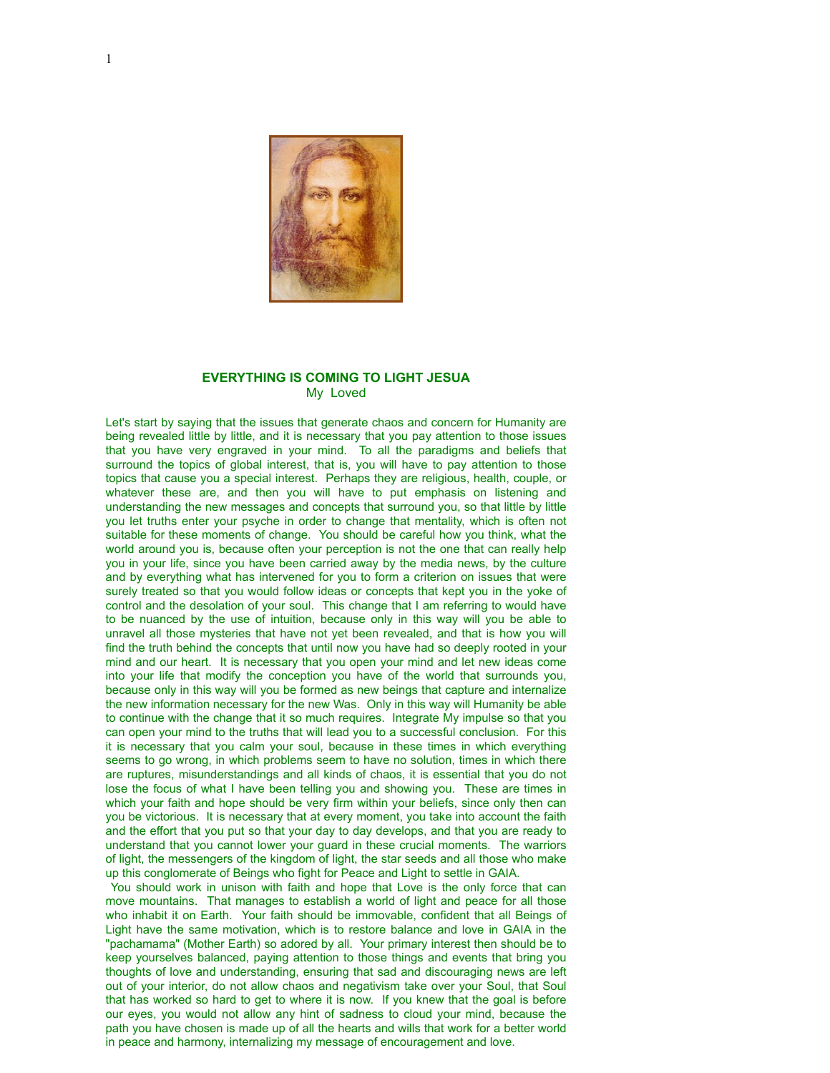

## **EVERYTHING IS COMING TO LIGHT JESUA** My Loved

Let's start by saying that the issues that generate chaos and concern for Humanity are being revealed little by little, and it is necessary that you pay attention to those issues that you have very engraved in your mind. To all the paradigms and beliefs that surround the topics of global interest, that is, you will have to pay attention to those topics that cause you a special interest. Perhaps they are religious, health, couple, or whatever these are, and then you will have to put emphasis on listening and understanding the new messages and concepts that surround you, so that little by little you let truths enter your psyche in order to change that mentality, which is often not suitable for these moments of change. You should be careful how you think, what the world around you is, because often your perception is not the one that can really help you in your life, since you have been carried away by the media news, by the culture and by everything what has intervened for you to form a criterion on issues that were surely treated so that you would follow ideas or concepts that kept you in the yoke of control and the desolation of your soul. This change that I am referring to would have to be nuanced by the use of intuition, because only in this way will you be able to unravel all those mysteries that have not yet been revealed, and that is how you will find the truth behind the concepts that until now you have had so deeply rooted in your mind and our heart. It is necessary that you open your mind and let new ideas come into your life that modify the conception you have of the world that surrounds you, because only in this way will you be formed as new beings that capture and internalize the new information necessary for the new Was. Only in this way will Humanity be able to continue with the change that it so much requires. Integrate My impulse so that you can open your mind to the truths that will lead you to a successful conclusion. For this it is necessary that you calm your soul, because in these times in which everything seems to go wrong, in which problems seem to have no solution, times in which there are ruptures, misunderstandings and all kinds of chaos, it is essential that you do not lose the focus of what I have been telling you and showing you. These are times in which your faith and hope should be very firm within your beliefs, since only then can you be victorious. It is necessary that at every moment, you take into account the faith and the effort that you put so that your day to day develops, and that you are ready to understand that you cannot lower your guard in these crucial moments. The warriors of light, the messengers of the kingdom of light, the star seeds and all those who make up this conglomerate of Beings who fight for Peace and Light to settle in GAIA.

 You should work in unison with faith and hope that Love is the only force that can move mountains. That manages to establish a world of light and peace for all those who inhabit it on Earth. Your faith should be immovable, confident that all Beings of Light have the same motivation, which is to restore balance and love in GAIA in the "pachamama" (Mother Earth) so adored by all. Your primary interest then should be to keep yourselves balanced, paying attention to those things and events that bring you thoughts of love and understanding, ensuring that sad and discouraging news are left out of your interior, do not allow chaos and negativism take over your Soul, that Soul that has worked so hard to get to where it is now. If you knew that the goal is before our eyes, you would not allow any hint of sadness to cloud your mind, because the path you have chosen is made up of all the hearts and wills that work for a better world in peace and harmony, internalizing my message of encouragement and love.